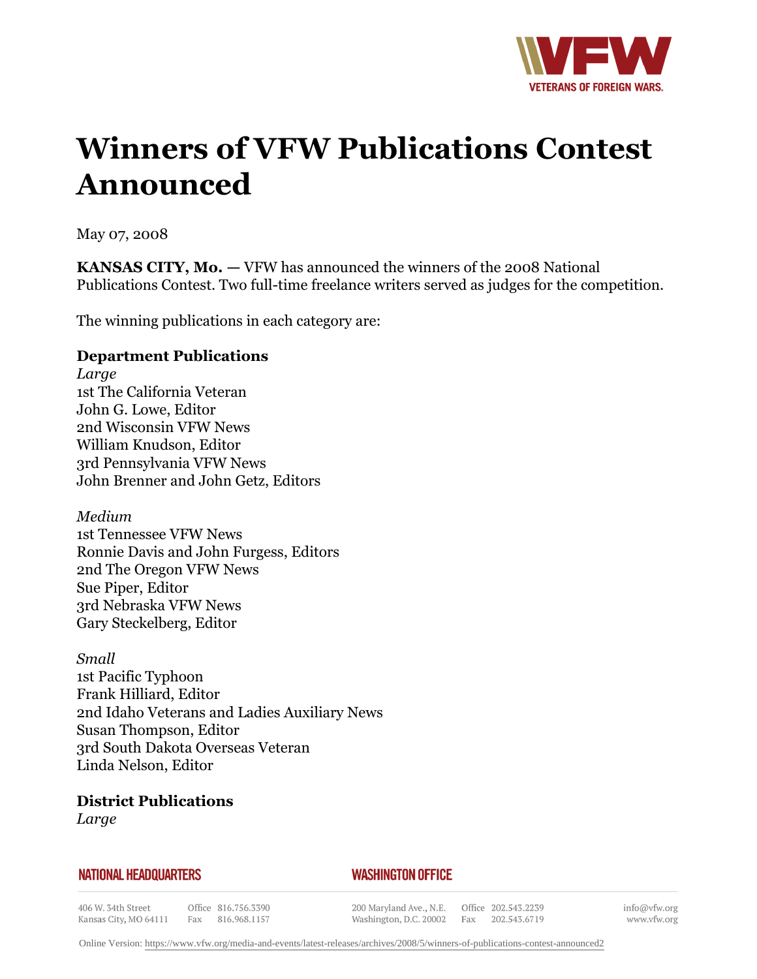

# **Winners of VFW Publications Contest Announced**

May 07, 2008

**KANSAS CITY, Mo.** *—* VFW has announced the winners of the 2008 National Publications Contest. Two full-time freelance writers served as judges for the competition.

The winning publications in each category are:

#### **Department Publications**

*Large* 1st The California Veteran John G. Lowe, Editor 2nd Wisconsin VFW News William Knudson, Editor 3rd Pennsylvania VFW News John Brenner and John Getz, Editors

*Medium* 1st Tennessee VFW News Ronnie Davis and John Furgess, Editors 2nd The Oregon VFW News Sue Piper, Editor 3rd Nebraska VFW News Gary Steckelberg, Editor

*Small* 1st Pacific Typhoon Frank Hilliard, Editor 2nd Idaho Veterans and Ladies Auxiliary News Susan Thompson, Editor 3rd South Dakota Overseas Veteran Linda Nelson, Editor

**District Publications** *Large*

#### **NATIONAL HEADQUARTERS**

# *WASHINGTON OFFICE*

406 W. 34th Street Kansas City, MO 64111

Office 816.756.3390 Fax 816.968.1157

200 Maryland Ave., N.E. Washington, D.C. 20002 Fax 202.543.6719

Office 202.543.2239

info@vfw.org www.vfw.org

Online Version:<https://www.vfw.org/media-and-events/latest-releases/archives/2008/5/winners-of-publications-contest-announced2>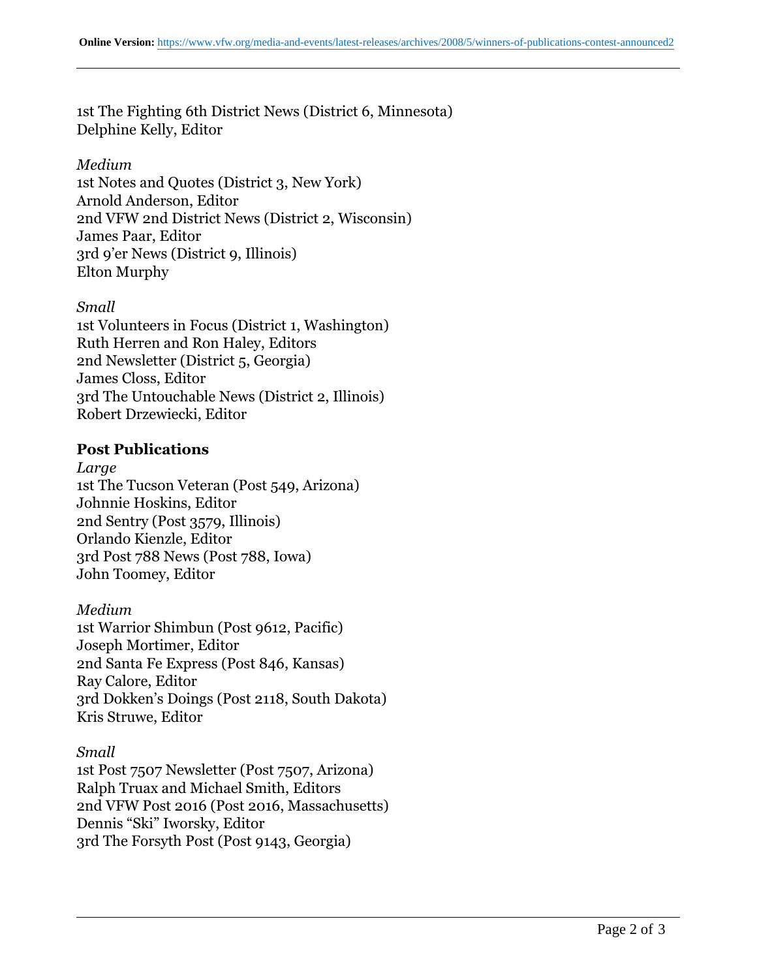1st The Fighting 6th District News (District 6, Minnesota) Delphine Kelly, Editor

# *Medium*

1st Notes and Quotes (District 3, New York) Arnold Anderson, Editor 2nd VFW 2nd District News (District 2, Wisconsin) James Paar, Editor 3rd 9'er News (District 9, Illinois) Elton Murphy

# *Small*

1st Volunteers in Focus (District 1, Washington) Ruth Herren and Ron Haley, Editors 2nd Newsletter (District 5, Georgia) James Closs, Editor 3rd The Untouchable News (District 2, Illinois) Robert Drzewiecki, Editor

# **Post Publications**

*Large* 1st The Tucson Veteran (Post 549, Arizona) Johnnie Hoskins, Editor 2nd Sentry (Post 3579, Illinois) Orlando Kienzle, Editor 3rd Post 788 News (Post 788, Iowa) John Toomey, Editor

# *Medium*

1st Warrior Shimbun (Post 9612, Pacific) Joseph Mortimer, Editor 2nd Santa Fe Express (Post 846, Kansas) Ray Calore, Editor 3rd Dokken's Doings (Post 2118, South Dakota) Kris Struwe, Editor

# *Small*

1st Post 7507 Newsletter (Post 7507, Arizona) Ralph Truax and Michael Smith, Editors 2nd VFW Post 2016 (Post 2016, Massachusetts) Dennis "Ski" Iworsky, Editor 3rd The Forsyth Post (Post 9143, Georgia)